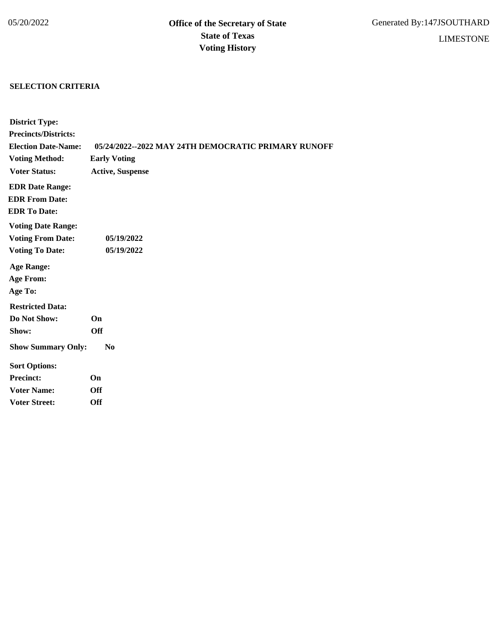## **SELECTION CRITERIA**

| <b>District Type:</b>       |                                                     |
|-----------------------------|-----------------------------------------------------|
| <b>Precincts/Districts:</b> |                                                     |
| <b>Election Date-Name:</b>  | 05/24/2022--2022 MAY 24TH DEMOCRATIC PRIMARY RUNOFF |
| <b>Voting Method:</b>       | <b>Early Voting</b>                                 |
| <b>Voter Status:</b>        | <b>Active, Suspense</b>                             |
| <b>EDR Date Range:</b>      |                                                     |
| <b>EDR From Date:</b>       |                                                     |
| <b>EDR To Date:</b>         |                                                     |
| <b>Voting Date Range:</b>   |                                                     |
| <b>Voting From Date:</b>    | 05/19/2022                                          |
| <b>Voting To Date:</b>      | 05/19/2022                                          |
| <b>Age Range:</b>           |                                                     |
| <b>Age From:</b>            |                                                     |
| Age To:                     |                                                     |
| <b>Restricted Data:</b>     |                                                     |
| Do Not Show:                | On                                                  |
| Show:                       | <b>Off</b>                                          |
| <b>Show Summary Only:</b>   | N <sub>0</sub>                                      |
| <b>Sort Options:</b>        |                                                     |
| <b>Precinct:</b>            | On                                                  |
| <b>Voter Name:</b>          | <b>Off</b>                                          |
| <b>Voter Street:</b>        | <b>Off</b>                                          |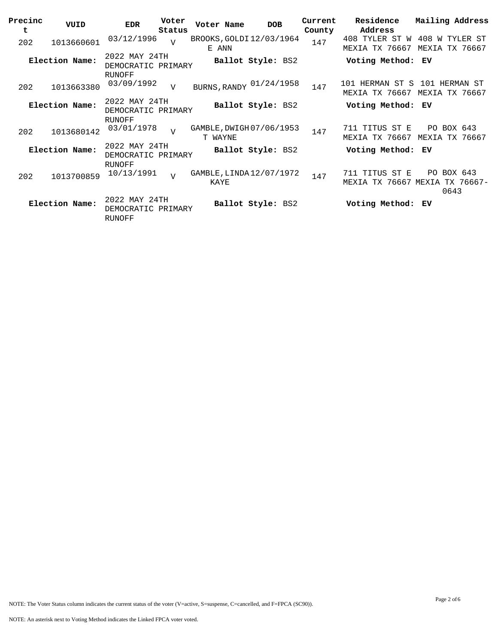| Precinc<br>t | VUID           | <b>EDR</b>                                    | Voter<br>Status | Voter Name                              | <b>DOB</b>        | Current<br>County | Residence<br>Address                      | Mailing Address                     |
|--------------|----------------|-----------------------------------------------|-----------------|-----------------------------------------|-------------------|-------------------|-------------------------------------------|-------------------------------------|
| 202          | 1013660601     | 03/12/1996                                    | $\overline{7}$  | BROOKS, GOLDI 12/03/1964<br>E ANN       |                   | 147               | 408 TYLER ST W<br>MEXIA TX 76667          | 408 W TYLER ST<br>MEXIA<br>TX 76667 |
|              | Election Name: | 2022 MAY 24TH<br>DEMOCRATIC PRIMARY<br>RUNOFF |                 |                                         | Ballot Style: BS2 |                   | Voting Method:                            | ЕV                                  |
| 202          | 1013663380     | 03/09/1992                                    | $\overline{V}$  | BURNS, RANDY 01/24/1958                 |                   | 147               | 101 HERMAN ST S<br>MEXIA TX 76667         | 101 HERMAN ST<br>MEXIA TX 76667     |
|              | Election Name: | 2022 MAY 24TH<br>DEMOCRATIC PRIMARY<br>RUNOFF |                 |                                         | Ballot Style: BS2 |                   | Voting Method:                            | ΕV                                  |
| 202          | 1013680142     | 03/01/1978                                    | $\overline{V}$  | GAMBLE, DWIGH 07/06/1953<br>T WAYNE     |                   | 147               | 711 TITUS ST E<br>MEXIA TX 76667          | PO BOX 643<br>MEXIA TX 76667        |
|              | Election Name: | 2022 MAY 24TH<br>DEMOCRATIC PRIMARY<br>RUNOFF |                 |                                         | Ballot Style: BS2 |                   | Voting Method:                            | ΕV                                  |
| 202          | 1013700859     | 10/13/1991                                    | $\overline{U}$  | GAMBLE, LINDA 12/07/1972<br><b>KAYE</b> |                   | 147               | 711 TITUS ST E<br>TX 76667 MEXIA<br>MEXIA | PO BOX 643<br>TX 76667-<br>0643     |
|              | Election Name: | 2022 MAY 24TH<br>DEMOCRATIC PRIMARY<br>RUNOFF |                 |                                         | Ballot Style: BS2 |                   | Voting Method:                            | ΕV                                  |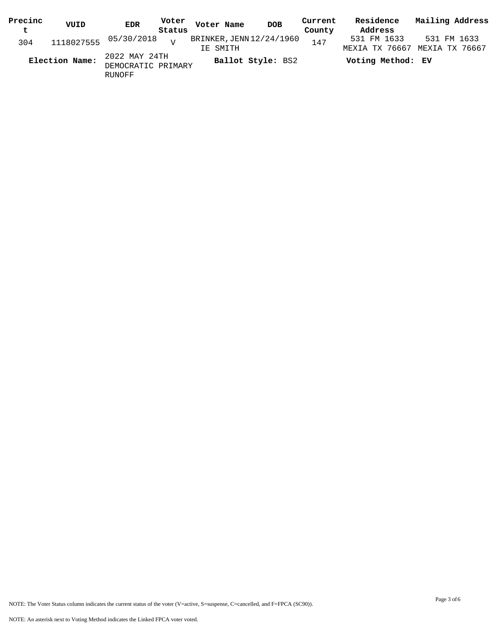| Precinc        | VUID | EDR                     | Voter             | Voter Name               | <b>DOB</b> | Current | Residence         | Mailing Address |  |
|----------------|------|-------------------------|-------------------|--------------------------|------------|---------|-------------------|-----------------|--|
| t              |      |                         | Status            |                          |            | County  | Address           |                 |  |
| 304            |      | 1118027555 05/30/2018 v |                   | BRINKER, JENN 12/24/1960 |            | 147     | 531 FM 1633       | 531 FM 1633     |  |
|                |      |                         |                   | IE SMITH                 |            |         | MEXIA TX 76667    | MEXIA TX 76667  |  |
| Election Name: |      | 2022 MAY 24TH           | Ballot Style: BS2 |                          |            |         | Voting Method: EV |                 |  |
|                |      | DEMOCRATIC PRIMARY      |                   |                          |            |         |                   |                 |  |
|                |      | RUNOFF                  |                   |                          |            |         |                   |                 |  |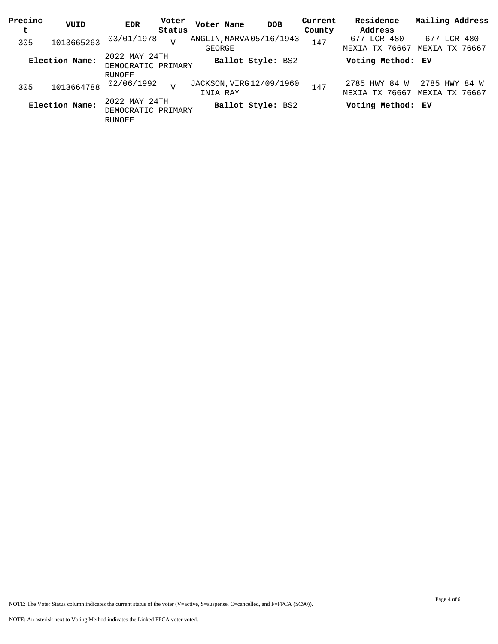| Precinc<br>t | VUID           | <b>EDR</b>                                           | Voter<br>Status | Voter Name                           | <b>DOB</b>        | Current<br>County | Residence<br>Address            | Mailing Address                 |
|--------------|----------------|------------------------------------------------------|-----------------|--------------------------------------|-------------------|-------------------|---------------------------------|---------------------------------|
| 305          | 1013665263     | 03/01/1978                                           | $\overline{U}$  | ANGLIN, MARVA 05/16/1943<br>GEORGE   |                   | 147               | 677 LCR 480<br>MEXIA TX 76667   | 677 LCR 480<br>MEXIA TX 76667   |
|              | Election Name: | 2022 MAY 24TH<br>DEMOCRATIC PRIMARY                  |                 |                                      | Ballot Style: BS2 |                   | Voting Method: EV               |                                 |
| 305          | 1013664788     | RUNOFF<br>02/06/1992                                 | $\tau$          | JACKSON, VIRG 12/09/1960<br>INIA RAY |                   | 147               | 2785 HWY 84 W<br>MEXIA TX 76667 | 2785 HWY 84 W<br>MEXIA TX 76667 |
|              | Election Name: | 2022 MAY 24TH<br>DEMOCRATIC PRIMARY<br><b>RUNOFF</b> |                 |                                      | Ballot Style: BS2 |                   | Voting Method: EV               |                                 |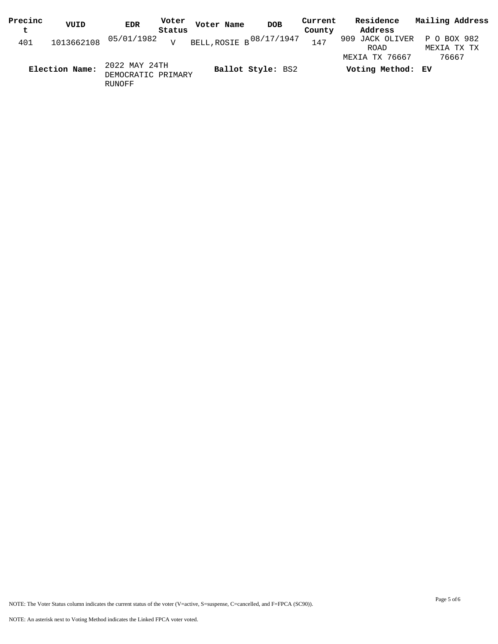| Precinc     | VUID           | <b>EDR</b>                                    | Voter          | Voter Name | <b>DOB</b>                    | Current | Residence                           | Mailing Address |
|-------------|----------------|-----------------------------------------------|----------------|------------|-------------------------------|---------|-------------------------------------|-----------------|
| $\mathbf t$ |                |                                               | Status         |            |                               | County  | Address                             |                 |
| 401         | 1013662108     | 05/01/1982                                    | $\overline{V}$ |            | BELL, ROSIE B $^{08/17/1947}$ | 147     | 909 JACK OLIVER P O BOX 982<br>ROAD | MEXIA TX TX     |
|             | Election Name: | 2022 MAY 24TH<br>DEMOCRATIC PRIMARY<br>RUNOFF |                |            | Ballot Style: BS2             |         | MEXIA TX 76667<br>Voting Method: EV | 76667           |